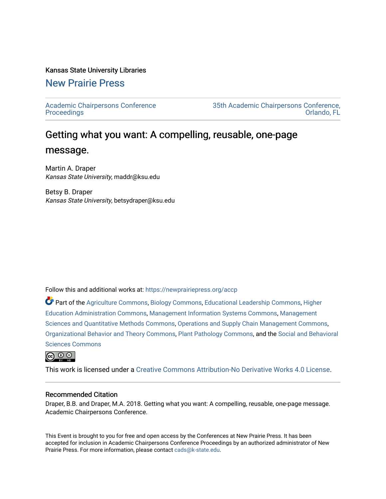#### Kansas State University Libraries

## [New Prairie Press](https://newprairiepress.org/)

[Academic Chairpersons Conference](https://newprairiepress.org/accp)  **Proceedings** 

[35th Academic Chairpersons Conference,](https://newprairiepress.org/accp/2018)  [Orlando, FL](https://newprairiepress.org/accp/2018) 

## Getting what you want: A compelling, reusable, one-page message.

Martin A. Draper Kansas State University, maddr@ksu.edu

Betsy B. Draper Kansas State University, betsydraper@ksu.edu

Follow this and additional works at: [https://newprairiepress.org/accp](https://newprairiepress.org/accp?utm_source=newprairiepress.org%2Faccp%2F2018%2Fleadership%2F4&utm_medium=PDF&utm_campaign=PDFCoverPages) 

Part of the [Agriculture Commons](http://network.bepress.com/hgg/discipline/1076?utm_source=newprairiepress.org%2Faccp%2F2018%2Fleadership%2F4&utm_medium=PDF&utm_campaign=PDFCoverPages), [Biology Commons](http://network.bepress.com/hgg/discipline/41?utm_source=newprairiepress.org%2Faccp%2F2018%2Fleadership%2F4&utm_medium=PDF&utm_campaign=PDFCoverPages), [Educational Leadership Commons](http://network.bepress.com/hgg/discipline/1230?utm_source=newprairiepress.org%2Faccp%2F2018%2Fleadership%2F4&utm_medium=PDF&utm_campaign=PDFCoverPages), [Higher](http://network.bepress.com/hgg/discipline/791?utm_source=newprairiepress.org%2Faccp%2F2018%2Fleadership%2F4&utm_medium=PDF&utm_campaign=PDFCoverPages)  [Education Administration Commons,](http://network.bepress.com/hgg/discipline/791?utm_source=newprairiepress.org%2Faccp%2F2018%2Fleadership%2F4&utm_medium=PDF&utm_campaign=PDFCoverPages) [Management Information Systems Commons,](http://network.bepress.com/hgg/discipline/636?utm_source=newprairiepress.org%2Faccp%2F2018%2Fleadership%2F4&utm_medium=PDF&utm_campaign=PDFCoverPages) [Management](http://network.bepress.com/hgg/discipline/637?utm_source=newprairiepress.org%2Faccp%2F2018%2Fleadership%2F4&utm_medium=PDF&utm_campaign=PDFCoverPages) [Sciences and Quantitative Methods Commons,](http://network.bepress.com/hgg/discipline/637?utm_source=newprairiepress.org%2Faccp%2F2018%2Fleadership%2F4&utm_medium=PDF&utm_campaign=PDFCoverPages) [Operations and Supply Chain Management Commons,](http://network.bepress.com/hgg/discipline/1229?utm_source=newprairiepress.org%2Faccp%2F2018%2Fleadership%2F4&utm_medium=PDF&utm_campaign=PDFCoverPages) [Organizational Behavior and Theory Commons](http://network.bepress.com/hgg/discipline/639?utm_source=newprairiepress.org%2Faccp%2F2018%2Fleadership%2F4&utm_medium=PDF&utm_campaign=PDFCoverPages), [Plant Pathology Commons](http://network.bepress.com/hgg/discipline/107?utm_source=newprairiepress.org%2Faccp%2F2018%2Fleadership%2F4&utm_medium=PDF&utm_campaign=PDFCoverPages), and the [Social and Behavioral](http://network.bepress.com/hgg/discipline/316?utm_source=newprairiepress.org%2Faccp%2F2018%2Fleadership%2F4&utm_medium=PDF&utm_campaign=PDFCoverPages)  [Sciences Commons](http://network.bepress.com/hgg/discipline/316?utm_source=newprairiepress.org%2Faccp%2F2018%2Fleadership%2F4&utm_medium=PDF&utm_campaign=PDFCoverPages) 



This work is licensed under a [Creative Commons Attribution-No Derivative Works 4.0 License.](https://creativecommons.org/licenses/by-nd/4.0/)

#### Recommended Citation

Draper, B.B. and Draper, M.A. 2018. Getting what you want: A compelling, reusable, one-page message. Academic Chairpersons Conference.

This Event is brought to you for free and open access by the Conferences at New Prairie Press. It has been accepted for inclusion in Academic Chairpersons Conference Proceedings by an authorized administrator of New Prairie Press. For more information, please contact [cads@k-state.edu.](mailto:cads@k-state.edu)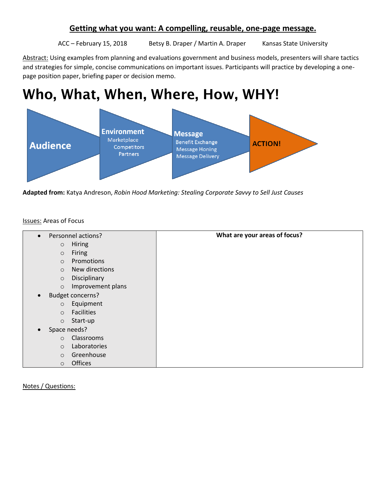## **Getting what you want: A compelling, reusable, one-page message.**

ACC – February 15, 2018 Betsy B. Draper / Martin A. Draper Kansas State University

Abstract: Using examples from planning and evaluations government and business models, presenters will share tactics and strategies for simple, concise communications on important issues. Participants will practice by developing a onepage position paper, briefing paper or decision memo.

# Who, What, When, Where, How, WHY!



**Adapted from:** Katya Andreson, *Robin Hood Marketing: Stealing Corporate Savvy to Sell Just Causes*

#### Issues: Areas of Focus

| Personnel actions?<br>$\bullet$      | What are your areas of focus? |
|--------------------------------------|-------------------------------|
| <b>Hiring</b><br>$\circ$             |                               |
| Firing<br>$\circ$                    |                               |
| Promotions<br>$\circ$                |                               |
| New directions<br>$\circ$            |                               |
| Disciplinary<br>$\circ$              |                               |
| Improvement plans<br>$\circ$         |                               |
| <b>Budget concerns?</b><br>$\bullet$ |                               |
| Equipment<br>$\circ$                 |                               |
| <b>Facilities</b><br>$\circ$         |                               |
| Start-up<br>$\circ$                  |                               |
| Space needs?<br>$\bullet$            |                               |
| Classrooms<br>$\circ$                |                               |
| Laboratories<br>$\circ$              |                               |
| Greenhouse<br>$\circ$                |                               |
| <b>Offices</b><br>$\circ$            |                               |

Notes / Questions: